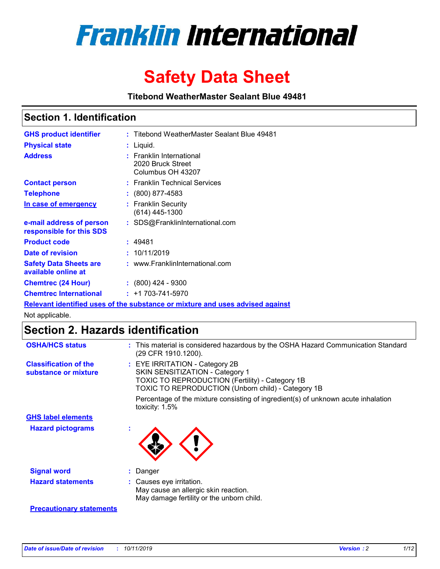

# **Safety Data Sheet**

**Titebond WeatherMaster Sealant Blue 49481**

### **Section 1. Identification**

| <b>GHS product identifier</b>                                                 |  | : Titebond WeatherMaster Sealant Blue 49481                        |  |  |  |
|-------------------------------------------------------------------------------|--|--------------------------------------------------------------------|--|--|--|
| <b>Physical state</b>                                                         |  | : Liquid.                                                          |  |  |  |
| <b>Address</b>                                                                |  | : Franklin International<br>2020 Bruck Street<br>Columbus OH 43207 |  |  |  |
| <b>Contact person</b>                                                         |  | : Franklin Technical Services                                      |  |  |  |
| <b>Telephone</b>                                                              |  | $\colon$ (800) 877-4583                                            |  |  |  |
| In case of emergency                                                          |  | : Franklin Security<br>(614) 445-1300                              |  |  |  |
| e-mail address of person<br>responsible for this SDS                          |  | : SDS@FranklinInternational.com                                    |  |  |  |
| <b>Product code</b>                                                           |  | : 49481                                                            |  |  |  |
| Date of revision                                                              |  | : 10/11/2019                                                       |  |  |  |
| <b>Safety Data Sheets are</b><br>available online at                          |  | : www.FranklinInternational.com                                    |  |  |  |
| <b>Chemtrec (24 Hour)</b>                                                     |  | $: (800)$ 424 - 9300                                               |  |  |  |
| <b>Chemtrec International</b>                                                 |  | $: +1703 - 741 - 5970$                                             |  |  |  |
| Relevant identified uses of the substance or mixture and uses advised against |  |                                                                    |  |  |  |

Not applicable.

## **Section 2. Hazards identification**

| <b>OSHA/HCS status</b>                               | : This material is considered hazardous by the OSHA Hazard Communication Standard<br>(29 CFR 1910.1200).                                                                                 |
|------------------------------------------------------|------------------------------------------------------------------------------------------------------------------------------------------------------------------------------------------|
| <b>Classification of the</b><br>substance or mixture | : EYE IRRITATION - Category 2B<br>SKIN SENSITIZATION - Category 1<br><b>TOXIC TO REPRODUCTION (Fertility) - Category 1B</b><br><b>TOXIC TO REPRODUCTION (Unborn child) - Category 1B</b> |
|                                                      | Percentage of the mixture consisting of ingredient(s) of unknown acute inhalation<br>toxicity: $1.5\%$                                                                                   |
| <b>GHS label elements</b>                            |                                                                                                                                                                                          |
| <b>Hazard pictograms</b>                             |                                                                                                                                                                                          |
| <b>Signal word</b>                                   | : Danger                                                                                                                                                                                 |
| <b>Hazard statements</b>                             | : Causes eye irritation.<br>May cause an allergic skin reaction.<br>May damage fertility or the unborn child.                                                                            |
| <b>Precautionary statements</b>                      |                                                                                                                                                                                          |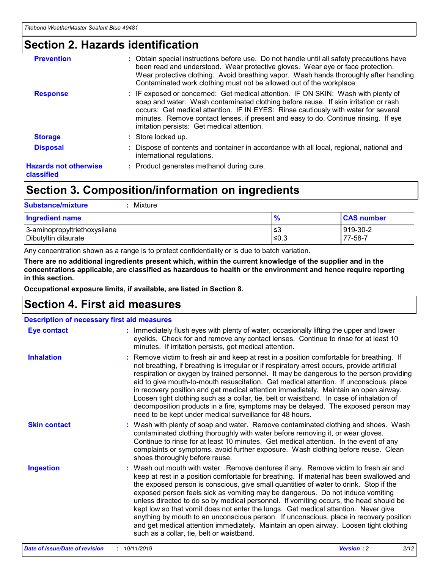### **Section 2. Hazards identification**

| <b>Prevention</b>                          | : Obtain special instructions before use. Do not handle until all safety precautions have<br>been read and understood. Wear protective gloves. Wear eye or face protection.<br>Wear protective clothing. Avoid breathing vapor. Wash hands thoroughly after handling.<br>Contaminated work clothing must not be allowed out of the workplace.                                                        |
|--------------------------------------------|------------------------------------------------------------------------------------------------------------------------------------------------------------------------------------------------------------------------------------------------------------------------------------------------------------------------------------------------------------------------------------------------------|
| <b>Response</b>                            | : IF exposed or concerned: Get medical attention. IF ON SKIN: Wash with plenty of<br>soap and water. Wash contaminated clothing before reuse. If skin irritation or rash<br>occurs: Get medical attention. IF IN EYES: Rinse cautiously with water for several<br>minutes. Remove contact lenses, if present and easy to do. Continue rinsing. If eye<br>irritation persists: Get medical attention. |
| <b>Storage</b>                             | : Store locked up.                                                                                                                                                                                                                                                                                                                                                                                   |
| <b>Disposal</b>                            | : Dispose of contents and container in accordance with all local, regional, national and<br>international regulations.                                                                                                                                                                                                                                                                               |
| <b>Hazards not otherwise</b><br>classified | : Product generates methanol during cure.                                                                                                                                                                                                                                                                                                                                                            |
|                                            |                                                                                                                                                                                                                                                                                                                                                                                                      |

### **Section 3. Composition/information on ingredients**

| <b>Substance/mixture</b><br>Mixture                  |               |                     |
|------------------------------------------------------|---------------|---------------------|
| <b>Ingredient name</b>                               | $\frac{9}{6}$ | <b>CAS number</b>   |
| 3-aminopropyltriethoxysilane<br>Dibutyltin dilaurate | ≤3<br>≤0.3    | 919-30-2<br>77-58-7 |

Any concentration shown as a range is to protect confidentiality or is due to batch variation.

**There are no additional ingredients present which, within the current knowledge of the supplier and in the concentrations applicable, are classified as hazardous to health or the environment and hence require reporting in this section.**

**Occupational exposure limits, if available, are listed in Section 8.**

### **Section 4. First aid measures**

| <b>Description of necessary first aid measures</b> |                                                                                                                                                                                                                                                                                                                                                                                                                                                                                                                                                                                                                                                                                                                                                                           |  |  |  |
|----------------------------------------------------|---------------------------------------------------------------------------------------------------------------------------------------------------------------------------------------------------------------------------------------------------------------------------------------------------------------------------------------------------------------------------------------------------------------------------------------------------------------------------------------------------------------------------------------------------------------------------------------------------------------------------------------------------------------------------------------------------------------------------------------------------------------------------|--|--|--|
| <b>Eye contact</b>                                 | : Immediately flush eyes with plenty of water, occasionally lifting the upper and lower<br>eyelids. Check for and remove any contact lenses. Continue to rinse for at least 10<br>minutes. If irritation persists, get medical attention.                                                                                                                                                                                                                                                                                                                                                                                                                                                                                                                                 |  |  |  |
| <b>Inhalation</b>                                  | : Remove victim to fresh air and keep at rest in a position comfortable for breathing. If<br>not breathing, if breathing is irregular or if respiratory arrest occurs, provide artificial<br>respiration or oxygen by trained personnel. It may be dangerous to the person providing<br>aid to give mouth-to-mouth resuscitation. Get medical attention. If unconscious, place<br>in recovery position and get medical attention immediately. Maintain an open airway.<br>Loosen tight clothing such as a collar, tie, belt or waistband. In case of inhalation of<br>decomposition products in a fire, symptoms may be delayed. The exposed person may<br>need to be kept under medical surveillance for 48 hours.                                                       |  |  |  |
| <b>Skin contact</b>                                | : Wash with plenty of soap and water. Remove contaminated clothing and shoes. Wash<br>contaminated clothing thoroughly with water before removing it, or wear gloves.<br>Continue to rinse for at least 10 minutes. Get medical attention. In the event of any<br>complaints or symptoms, avoid further exposure. Wash clothing before reuse. Clean<br>shoes thoroughly before reuse.                                                                                                                                                                                                                                                                                                                                                                                     |  |  |  |
| <b>Ingestion</b>                                   | : Wash out mouth with water. Remove dentures if any. Remove victim to fresh air and<br>keep at rest in a position comfortable for breathing. If material has been swallowed and<br>the exposed person is conscious, give small quantities of water to drink. Stop if the<br>exposed person feels sick as vomiting may be dangerous. Do not induce vomiting<br>unless directed to do so by medical personnel. If vomiting occurs, the head should be<br>kept low so that vomit does not enter the lungs. Get medical attention. Never give<br>anything by mouth to an unconscious person. If unconscious, place in recovery position<br>and get medical attention immediately. Maintain an open airway. Loosen tight clothing<br>such as a collar, tie, belt or waistband. |  |  |  |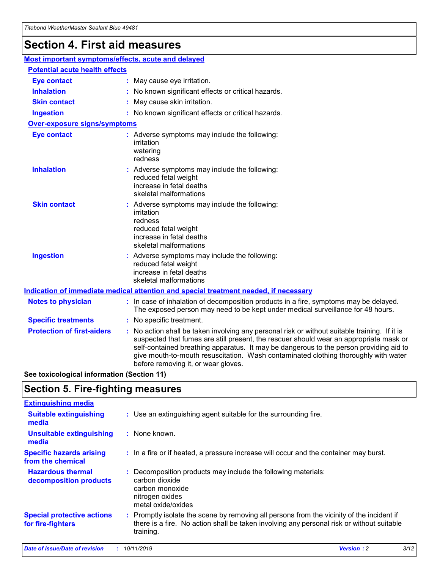## **Section 4. First aid measures**

| Most important symptoms/effects, acute and delayed |  |                                                                                                                                                                                                                                                                                                                                                                                                                 |  |
|----------------------------------------------------|--|-----------------------------------------------------------------------------------------------------------------------------------------------------------------------------------------------------------------------------------------------------------------------------------------------------------------------------------------------------------------------------------------------------------------|--|
| <b>Potential acute health effects</b>              |  |                                                                                                                                                                                                                                                                                                                                                                                                                 |  |
| <b>Eye contact</b>                                 |  | : May cause eye irritation.                                                                                                                                                                                                                                                                                                                                                                                     |  |
| <b>Inhalation</b>                                  |  | : No known significant effects or critical hazards.                                                                                                                                                                                                                                                                                                                                                             |  |
| <b>Skin contact</b>                                |  | : May cause skin irritation.                                                                                                                                                                                                                                                                                                                                                                                    |  |
| <b>Ingestion</b>                                   |  | : No known significant effects or critical hazards.                                                                                                                                                                                                                                                                                                                                                             |  |
| Over-exposure signs/symptoms                       |  |                                                                                                                                                                                                                                                                                                                                                                                                                 |  |
| <b>Eye contact</b>                                 |  | : Adverse symptoms may include the following:<br>irritation<br>watering<br>redness                                                                                                                                                                                                                                                                                                                              |  |
| <b>Inhalation</b>                                  |  | : Adverse symptoms may include the following:<br>reduced fetal weight<br>increase in fetal deaths<br>skeletal malformations                                                                                                                                                                                                                                                                                     |  |
| <b>Skin contact</b>                                |  | : Adverse symptoms may include the following:<br>irritation<br>redness<br>reduced fetal weight<br>increase in fetal deaths<br>skeletal malformations                                                                                                                                                                                                                                                            |  |
| <b>Ingestion</b>                                   |  | : Adverse symptoms may include the following:<br>reduced fetal weight<br>increase in fetal deaths<br>skeletal malformations                                                                                                                                                                                                                                                                                     |  |
|                                                    |  | <b>Indication of immediate medical attention and special treatment needed, if necessary</b>                                                                                                                                                                                                                                                                                                                     |  |
| <b>Notes to physician</b>                          |  | : In case of inhalation of decomposition products in a fire, symptoms may be delayed.<br>The exposed person may need to be kept under medical surveillance for 48 hours.                                                                                                                                                                                                                                        |  |
| <b>Specific treatments</b>                         |  | : No specific treatment.                                                                                                                                                                                                                                                                                                                                                                                        |  |
| <b>Protection of first-aiders</b>                  |  | : No action shall be taken involving any personal risk or without suitable training. If it is<br>suspected that fumes are still present, the rescuer should wear an appropriate mask or<br>self-contained breathing apparatus. It may be dangerous to the person providing aid to<br>give mouth-to-mouth resuscitation. Wash contaminated clothing thoroughly with water<br>before removing it, or wear gloves. |  |

**See toxicological information (Section 11)**

### **Section 5. Fire-fighting measures**

| <b>Extinguishing media</b>                             |                                                                                                                                                                                                     |
|--------------------------------------------------------|-----------------------------------------------------------------------------------------------------------------------------------------------------------------------------------------------------|
| <b>Suitable extinguishing</b><br>media                 | : Use an extinguishing agent suitable for the surrounding fire.                                                                                                                                     |
| <b>Unsuitable extinguishing</b><br>media               | $:$ None known.                                                                                                                                                                                     |
| <b>Specific hazards arising</b><br>from the chemical   | : In a fire or if heated, a pressure increase will occur and the container may burst.                                                                                                               |
| <b>Hazardous thermal</b><br>decomposition products     | : Decomposition products may include the following materials:<br>carbon dioxide<br>carbon monoxide<br>nitrogen oxides<br>metal oxide/oxides                                                         |
| <b>Special protective actions</b><br>for fire-fighters | : Promptly isolate the scene by removing all persons from the vicinity of the incident if<br>there is a fire. No action shall be taken involving any personal risk or without suitable<br>training. |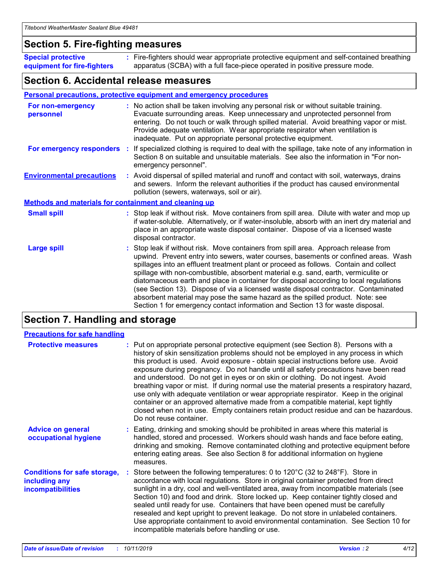### **Section 5. Fire-fighting measures**

**Special protective equipment for fire-fighters** Fire-fighters should wear appropriate protective equipment and self-contained breathing **:** apparatus (SCBA) with a full face-piece operated in positive pressure mode.

### **Section 6. Accidental release measures**

#### **Personal precautions, protective equipment and emergency procedures**

| For non-emergency<br>personnel                               |  | : No action shall be taken involving any personal risk or without suitable training.<br>Evacuate surrounding areas. Keep unnecessary and unprotected personnel from<br>entering. Do not touch or walk through spilled material. Avoid breathing vapor or mist.<br>Provide adequate ventilation. Wear appropriate respirator when ventilation is<br>inadequate. Put on appropriate personal protective equipment.                                                                                                                                                                                                                                                                                             |  |  |
|--------------------------------------------------------------|--|--------------------------------------------------------------------------------------------------------------------------------------------------------------------------------------------------------------------------------------------------------------------------------------------------------------------------------------------------------------------------------------------------------------------------------------------------------------------------------------------------------------------------------------------------------------------------------------------------------------------------------------------------------------------------------------------------------------|--|--|
|                                                              |  | For emergency responders : If specialized clothing is required to deal with the spillage, take note of any information in<br>Section 8 on suitable and unsuitable materials. See also the information in "For non-<br>emergency personnel".                                                                                                                                                                                                                                                                                                                                                                                                                                                                  |  |  |
| <b>Environmental precautions</b>                             |  | : Avoid dispersal of spilled material and runoff and contact with soil, waterways, drains<br>and sewers. Inform the relevant authorities if the product has caused environmental<br>pollution (sewers, waterways, soil or air).                                                                                                                                                                                                                                                                                                                                                                                                                                                                              |  |  |
| <b>Methods and materials for containment and cleaning up</b> |  |                                                                                                                                                                                                                                                                                                                                                                                                                                                                                                                                                                                                                                                                                                              |  |  |
| <b>Small spill</b>                                           |  | : Stop leak if without risk. Move containers from spill area. Dilute with water and mop up<br>if water-soluble. Alternatively, or if water-insoluble, absorb with an inert dry material and<br>place in an appropriate waste disposal container. Dispose of via a licensed waste<br>disposal contractor.                                                                                                                                                                                                                                                                                                                                                                                                     |  |  |
| <b>Large spill</b>                                           |  | : Stop leak if without risk. Move containers from spill area. Approach release from<br>upwind. Prevent entry into sewers, water courses, basements or confined areas. Wash<br>spillages into an effluent treatment plant or proceed as follows. Contain and collect<br>spillage with non-combustible, absorbent material e.g. sand, earth, vermiculite or<br>diatomaceous earth and place in container for disposal according to local regulations<br>(see Section 13). Dispose of via a licensed waste disposal contractor. Contaminated<br>absorbent material may pose the same hazard as the spilled product. Note: see<br>Section 1 for emergency contact information and Section 13 for waste disposal. |  |  |

### **Section 7. Handling and storage**

| <b>Precautions for safe handling</b>                                             |                                                                                                                                                                                                                                                                                                                                                                                                                                                                                                                                                                                                                                                                                                                                                                                                                                                  |
|----------------------------------------------------------------------------------|--------------------------------------------------------------------------------------------------------------------------------------------------------------------------------------------------------------------------------------------------------------------------------------------------------------------------------------------------------------------------------------------------------------------------------------------------------------------------------------------------------------------------------------------------------------------------------------------------------------------------------------------------------------------------------------------------------------------------------------------------------------------------------------------------------------------------------------------------|
| <b>Protective measures</b>                                                       | : Put on appropriate personal protective equipment (see Section 8). Persons with a<br>history of skin sensitization problems should not be employed in any process in which<br>this product is used. Avoid exposure - obtain special instructions before use. Avoid<br>exposure during pregnancy. Do not handle until all safety precautions have been read<br>and understood. Do not get in eyes or on skin or clothing. Do not ingest. Avoid<br>breathing vapor or mist. If during normal use the material presents a respiratory hazard,<br>use only with adequate ventilation or wear appropriate respirator. Keep in the original<br>container or an approved alternative made from a compatible material, kept tightly<br>closed when not in use. Empty containers retain product residue and can be hazardous.<br>Do not reuse container. |
| <b>Advice on general</b><br>occupational hygiene                                 | : Eating, drinking and smoking should be prohibited in areas where this material is<br>handled, stored and processed. Workers should wash hands and face before eating,<br>drinking and smoking. Remove contaminated clothing and protective equipment before<br>entering eating areas. See also Section 8 for additional information on hygiene<br>measures.                                                                                                                                                                                                                                                                                                                                                                                                                                                                                    |
| <b>Conditions for safe storage,</b><br>including any<br><b>incompatibilities</b> | Store between the following temperatures: 0 to 120°C (32 to 248°F). Store in<br>accordance with local regulations. Store in original container protected from direct<br>sunlight in a dry, cool and well-ventilated area, away from incompatible materials (see<br>Section 10) and food and drink. Store locked up. Keep container tightly closed and<br>sealed until ready for use. Containers that have been opened must be carefully<br>resealed and kept upright to prevent leakage. Do not store in unlabeled containers.<br>Use appropriate containment to avoid environmental contamination. See Section 10 for<br>incompatible materials before handling or use.                                                                                                                                                                         |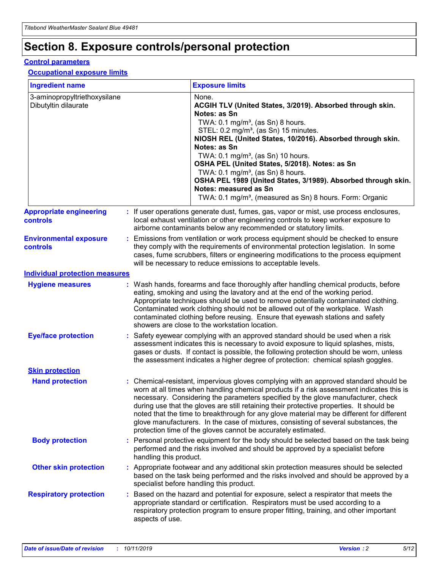## **Section 8. Exposure controls/personal protection**

#### **Control parameters**

#### **Occupational exposure limits**

| <b>Ingredient name</b>                               |    |                                          | <b>Exposure limits</b>                                                                                                                                                                                                                                                                                                                                                                                                                                                                                                                                                                                                 |
|------------------------------------------------------|----|------------------------------------------|------------------------------------------------------------------------------------------------------------------------------------------------------------------------------------------------------------------------------------------------------------------------------------------------------------------------------------------------------------------------------------------------------------------------------------------------------------------------------------------------------------------------------------------------------------------------------------------------------------------------|
| 3-aminopropyltriethoxysilane<br>Dibutyltin dilaurate |    |                                          | None.<br>ACGIH TLV (United States, 3/2019). Absorbed through skin.<br>Notes: as Sn<br>TWA: 0.1 mg/m <sup>3</sup> , (as Sn) 8 hours.<br>STEL: 0.2 mg/m <sup>3</sup> , (as Sn) 15 minutes.<br>NIOSH REL (United States, 10/2016). Absorbed through skin.<br>Notes: as Sn<br>TWA: 0.1 mg/m <sup>3</sup> , (as Sn) 10 hours.<br>OSHA PEL (United States, 5/2018). Notes: as Sn<br>TWA: $0.1 \text{ mg/m}^3$ , (as Sn) 8 hours.<br>OSHA PEL 1989 (United States, 3/1989). Absorbed through skin.<br>Notes: measured as Sn<br>TWA: 0.1 mg/m <sup>3</sup> , (measured as Sn) 8 hours. Form: Organic                           |
| <b>Appropriate engineering</b><br>controls           |    |                                          | : If user operations generate dust, fumes, gas, vapor or mist, use process enclosures,<br>local exhaust ventilation or other engineering controls to keep worker exposure to<br>airborne contaminants below any recommended or statutory limits.                                                                                                                                                                                                                                                                                                                                                                       |
| <b>Environmental exposure</b><br><b>controls</b>     |    |                                          | Emissions from ventilation or work process equipment should be checked to ensure<br>they comply with the requirements of environmental protection legislation. In some<br>cases, fume scrubbers, filters or engineering modifications to the process equipment<br>will be necessary to reduce emissions to acceptable levels.                                                                                                                                                                                                                                                                                          |
| <b>Individual protection measures</b>                |    |                                          |                                                                                                                                                                                                                                                                                                                                                                                                                                                                                                                                                                                                                        |
| <b>Hygiene measures</b>                              |    |                                          | : Wash hands, forearms and face thoroughly after handling chemical products, before<br>eating, smoking and using the lavatory and at the end of the working period.<br>Appropriate techniques should be used to remove potentially contaminated clothing.<br>Contaminated work clothing should not be allowed out of the workplace. Wash<br>contaminated clothing before reusing. Ensure that eyewash stations and safety<br>showers are close to the workstation location.                                                                                                                                            |
| <b>Eye/face protection</b>                           |    |                                          | : Safety eyewear complying with an approved standard should be used when a risk<br>assessment indicates this is necessary to avoid exposure to liquid splashes, mists,<br>gases or dusts. If contact is possible, the following protection should be worn, unless<br>the assessment indicates a higher degree of protection: chemical splash goggles.                                                                                                                                                                                                                                                                  |
| <b>Skin protection</b>                               |    |                                          |                                                                                                                                                                                                                                                                                                                                                                                                                                                                                                                                                                                                                        |
| <b>Hand protection</b>                               |    |                                          | : Chemical-resistant, impervious gloves complying with an approved standard should be<br>worn at all times when handling chemical products if a risk assessment indicates this is<br>necessary. Considering the parameters specified by the glove manufacturer, check<br>during use that the gloves are still retaining their protective properties. It should be<br>noted that the time to breakthrough for any glove material may be different for different<br>glove manufacturers. In the case of mixtures, consisting of several substances, the<br>protection time of the gloves cannot be accurately estimated. |
| <b>Body protection</b>                               |    | handling this product.                   | Personal protective equipment for the body should be selected based on the task being<br>performed and the risks involved and should be approved by a specialist before                                                                                                                                                                                                                                                                                                                                                                                                                                                |
| <b>Other skin protection</b>                         |    | specialist before handling this product. | : Appropriate footwear and any additional skin protection measures should be selected<br>based on the task being performed and the risks involved and should be approved by a                                                                                                                                                                                                                                                                                                                                                                                                                                          |
| <b>Respiratory protection</b>                        | ÷. | aspects of use.                          | Based on the hazard and potential for exposure, select a respirator that meets the<br>appropriate standard or certification. Respirators must be used according to a<br>respiratory protection program to ensure proper fitting, training, and other important                                                                                                                                                                                                                                                                                                                                                         |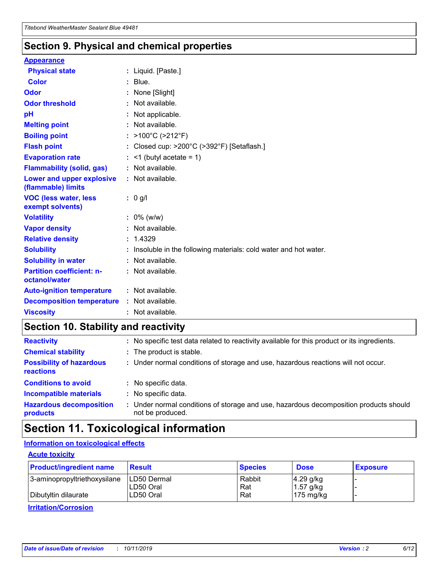### **Section 9. Physical and chemical properties**

#### **Appearance**

| <b>Physical state</b>                             | : Liquid. [Paste.]                                              |
|---------------------------------------------------|-----------------------------------------------------------------|
| Color                                             | $:$ Blue.                                                       |
| Odor                                              | : None [Slight]                                                 |
| <b>Odor threshold</b>                             | : Not available.                                                |
| рH                                                | : Not applicable.                                               |
| <b>Melting point</b>                              | : Not available.                                                |
| <b>Boiling point</b>                              | : $>100^{\circ}$ C ( $>212^{\circ}$ F)                          |
| <b>Flash point</b>                                | : Closed cup: $>200^{\circ}$ C ( $>392^{\circ}$ F) [Setaflash.] |
| <b>Evaporation rate</b>                           | $:$ <1 (butyl acetate = 1)                                      |
| <b>Flammability (solid, gas)</b>                  | : Not available.                                                |
| Lower and upper explosive<br>(flammable) limits   | : Not available.                                                |
| <b>VOC (less water, less</b><br>exempt solvents)  | $: 0$ g/l                                                       |
| <b>Volatility</b>                                 | $: 0\%$ (w/w)                                                   |
| <b>Vapor density</b>                              |                                                                 |
|                                                   | : Not available.                                                |
| <b>Relative density</b>                           | : 1.4329                                                        |
| <b>Solubility</b>                                 | Insoluble in the following materials: cold water and hot water. |
| <b>Solubility in water</b>                        | : Not available.                                                |
| <b>Partition coefficient: n-</b><br>octanol/water | $:$ Not available.                                              |
| <b>Auto-ignition temperature</b>                  | : Not available.                                                |
| <b>Decomposition temperature</b>                  | : Not available.                                                |

### **Section 10. Stability and reactivity**

| <b>Reactivity</b>                            | : No specific test data related to reactivity available for this product or its ingredients.            |
|----------------------------------------------|---------------------------------------------------------------------------------------------------------|
| <b>Chemical stability</b>                    | : The product is stable.                                                                                |
| <b>Possibility of hazardous</b><br>reactions | : Under normal conditions of storage and use, hazardous reactions will not occur.                       |
| <b>Conditions to avoid</b>                   | : No specific data.                                                                                     |
| <b>Incompatible materials</b>                | : No specific data.                                                                                     |
| <b>Hazardous decomposition</b><br>products   | Under normal conditions of storage and use, hazardous decomposition products should<br>not be produced. |

## **Section 11. Toxicological information**

#### **Information on toxicological effects**

#### **Acute toxicity**

| <b>Product/ingredient name</b> | <b>Result</b>           | <b>Species</b> | <b>Dose</b>                | <b>Exposure</b> |
|--------------------------------|-------------------------|----------------|----------------------------|-----------------|
| 3-aminopropyltriethoxysilane   | <b>ILD50 Dermal</b>     | Rabbit         | 4.29 g/kg                  |                 |
| Dibutyltin dilaurate           | ILD50 Oral<br>LD50 Oral | Rat<br>Rat     | $1.57$ g/kg<br>175 $mg/kg$ |                 |
|                                |                         |                |                            |                 |

**Irritation/Corrosion**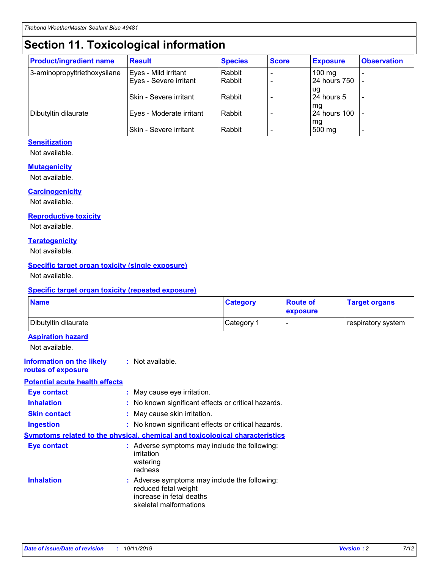## **Section 11. Toxicological information**

| <b>Product/ingredient name</b> | <b>Result</b>            | <b>Species</b> | <b>Score</b> | <b>Exposure</b>           | <b>Observation</b> |
|--------------------------------|--------------------------|----------------|--------------|---------------------------|--------------------|
| 3-aminopropyltriethoxysilane   | Eyes - Mild irritant     | Rabbit         |              | $100$ mg                  |                    |
|                                | Eyes - Severe irritant   | Rabbit         |              | 24 hours 750              |                    |
|                                |                          |                |              | ug                        |                    |
|                                | Skin - Severe irritant   | Rabbit         |              | 24 hours 5                | -                  |
| Dibutyltin dilaurate           | Eyes - Moderate irritant | Rabbit         |              | mq<br><b>24 hours 100</b> |                    |
|                                |                          |                |              | mg                        |                    |
|                                | Skin - Severe irritant   | Rabbit         |              | 500 mg                    |                    |

#### **Sensitization**

Not available.

#### **Mutagenicity**

Not available.

#### **Carcinogenicity**

Not available.

#### **Reproductive toxicity**

Not available.

#### **Teratogenicity**

Not available.

#### **Specific target organ toxicity (single exposure)**

Not available.

#### **Specific target organ toxicity (repeated exposure)**

| <b>Name</b>                                                                  |                                                                            | <b>Category</b>                                     | <b>Route of</b><br>exposure | <b>Target organs</b> |
|------------------------------------------------------------------------------|----------------------------------------------------------------------------|-----------------------------------------------------|-----------------------------|----------------------|
| Dibutyltin dilaurate                                                         |                                                                            | Category 1                                          | -                           | respiratory system   |
| <b>Aspiration hazard</b><br>Not available.                                   |                                                                            |                                                     |                             |                      |
| <b>Information on the likely</b><br>routes of exposure                       | : Not available.                                                           |                                                     |                             |                      |
| <b>Potential acute health effects</b>                                        |                                                                            |                                                     |                             |                      |
| <b>Eye contact</b>                                                           | : May cause eye irritation.                                                |                                                     |                             |                      |
| <b>Inhalation</b>                                                            |                                                                            | : No known significant effects or critical hazards. |                             |                      |
| <b>Skin contact</b>                                                          | : May cause skin irritation.                                               |                                                     |                             |                      |
| <b>Ingestion</b>                                                             |                                                                            | : No known significant effects or critical hazards. |                             |                      |
| Symptoms related to the physical, chemical and toxicological characteristics |                                                                            |                                                     |                             |                      |
| <b>Eye contact</b>                                                           | irritation<br>watering<br>redness                                          | : Adverse symptoms may include the following:       |                             |                      |
| <b>Inhalation</b>                                                            | reduced fetal weight<br>increase in fetal deaths<br>skeletal malformations | : Adverse symptoms may include the following:       |                             |                      |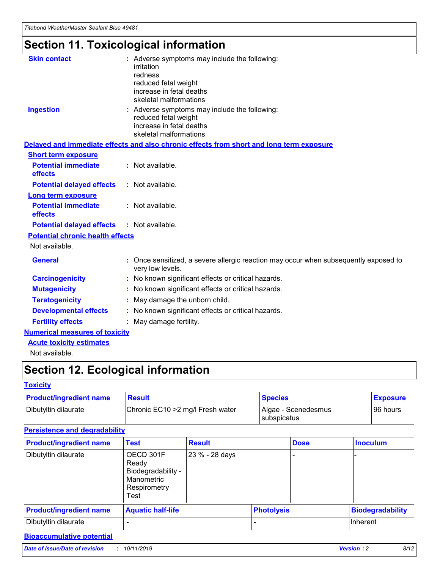## **Section 11. Toxicological information**

| <b>Skin contact</b>                     | : Adverse symptoms may include the following:<br>irritation<br>redness<br>reduced fetal weight<br>increase in fetal deaths<br>skeletal malformations |
|-----------------------------------------|------------------------------------------------------------------------------------------------------------------------------------------------------|
| <b>Ingestion</b>                        | : Adverse symptoms may include the following:<br>reduced fetal weight<br>increase in fetal deaths<br>skeletal malformations                          |
|                                         | Delayed and immediate effects and also chronic effects from short and long term exposure                                                             |
| <b>Short term exposure</b>              |                                                                                                                                                      |
| <b>Potential immediate</b><br>effects   | : Not available.                                                                                                                                     |
| <b>Potential delayed effects</b>        | : Not available.                                                                                                                                     |
| <b>Long term exposure</b>               |                                                                                                                                                      |
| <b>Potential immediate</b><br>effects   | : Not available.                                                                                                                                     |
| <b>Potential delayed effects</b>        | : Not available.                                                                                                                                     |
| <b>Potential chronic health effects</b> |                                                                                                                                                      |
| Not available.                          |                                                                                                                                                      |
| <b>General</b>                          | : Once sensitized, a severe allergic reaction may occur when subsequently exposed to<br>very low levels.                                             |
| <b>Carcinogenicity</b>                  | : No known significant effects or critical hazards.                                                                                                  |
| <b>Mutagenicity</b>                     | No known significant effects or critical hazards.                                                                                                    |
| <b>Teratogenicity</b>                   | May damage the unborn child.                                                                                                                         |
| <b>Developmental effects</b>            | No known significant effects or critical hazards.                                                                                                    |
| <b>Fertility effects</b>                | : May damage fertility.                                                                                                                              |
| <b>Numerical measures of toxicity</b>   |                                                                                                                                                      |
| <b>Acute toxicity estimates</b>         |                                                                                                                                                      |
|                                         |                                                                                                                                                      |

Not available.

## **Section 12. Ecological information**

#### **Toxicity**

| <b>Product/ingredient name</b> | <b>Result</b>                     | <b>Species</b>                       | <b>Exposure</b> |
|--------------------------------|-----------------------------------|--------------------------------------|-----------------|
| Dibutyltin dilaurate           | Chronic EC10 > 2 mg/l Fresh water | Algae - Scenedesmus<br>I subspicatus | l 96 hours      |

#### **Persistence and degradability**

| <b>Product/ingredient name</b> | Test                                                                           | <b>Result</b>  |                   | <b>Dose</b> | <b>Inoculum</b>         |
|--------------------------------|--------------------------------------------------------------------------------|----------------|-------------------|-------------|-------------------------|
| Dibutyltin dilaurate           | OECD 301F<br>Ready<br>Biodegradability -<br>Manometric<br>Respirometry<br>Test | 23 % - 28 days |                   |             |                         |
| <b>Product/ingredient name</b> | <b>Aquatic half-life</b>                                                       |                | <b>Photolysis</b> |             | <b>Biodegradability</b> |
| Dibutyltin dilaurate           |                                                                                |                |                   |             | Inherent                |

#### **Bioaccumulative potential**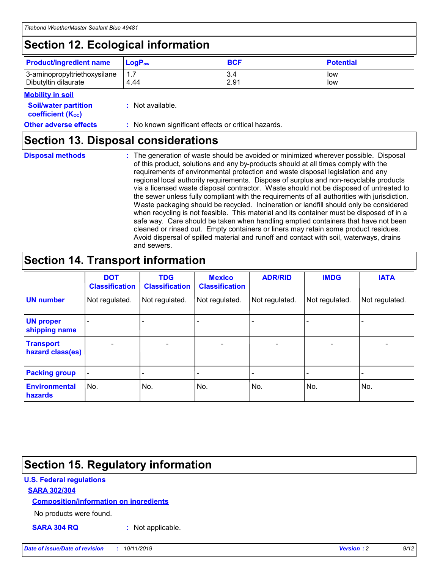## **Section 12. Ecological information**

| <b>Product/ingredient name</b> | $LoaPow$ | <b>BCF</b> | <b>Potential</b> |
|--------------------------------|----------|------------|------------------|
| 3-aminopropyltriethoxysilane   | 1.7      | 3.4        | low              |
| Dibutyltin dilaurate           | 4.44     | 2.91       | low              |

#### **Mobility in soil**

| <b>Soil/water partition</b><br>coefficient (K <sub>oc</sub> ) | : Not available.                                    |
|---------------------------------------------------------------|-----------------------------------------------------|
| <b>Other adverse effects</b>                                  | : No known significant effects or critical hazards. |

### **Section 13. Disposal considerations**

**Disposal methods :**

The generation of waste should be avoided or minimized wherever possible. Disposal of this product, solutions and any by-products should at all times comply with the requirements of environmental protection and waste disposal legislation and any regional local authority requirements. Dispose of surplus and non-recyclable products via a licensed waste disposal contractor. Waste should not be disposed of untreated to the sewer unless fully compliant with the requirements of all authorities with jurisdiction. Waste packaging should be recycled. Incineration or landfill should only be considered when recycling is not feasible. This material and its container must be disposed of in a safe way. Care should be taken when handling emptied containers that have not been cleaned or rinsed out. Empty containers or liners may retain some product residues. Avoid dispersal of spilled material and runoff and contact with soil, waterways, drains and sewers.

## **Section 14. Transport information**

|                                      | <b>DOT</b><br><b>Classification</b> | <b>TDG</b><br><b>Classification</b> | <b>Mexico</b><br><b>Classification</b> | <b>ADR/RID</b>           | <b>IMDG</b>              | <b>IATA</b>              |
|--------------------------------------|-------------------------------------|-------------------------------------|----------------------------------------|--------------------------|--------------------------|--------------------------|
| <b>UN number</b>                     | Not regulated.                      | Not regulated.                      | Not regulated.                         | Not regulated.           | Not regulated.           | Not regulated.           |
| <b>UN proper</b><br>shipping name    | $\qquad \qquad \blacksquare$        |                                     |                                        |                          |                          |                          |
| <b>Transport</b><br>hazard class(es) | $\blacksquare$                      | $\blacksquare$                      | $\blacksquare$                         | $\overline{\phantom{a}}$ | $\blacksquare$           | $\blacksquare$           |
| <b>Packing group</b>                 | $\overline{\phantom{a}}$            | $\overline{\phantom{0}}$            | $\overline{\phantom{0}}$               | -                        | $\overline{\phantom{0}}$ | $\overline{\phantom{a}}$ |
| <b>Environmental</b><br>hazards      | No.                                 | No.                                 | No.                                    | No.                      | No.                      | No.                      |

## **Section 15. Regulatory information**

#### **U.S. Federal regulations**

#### **SARA 302/304**

#### **Composition/information on ingredients**

No products were found.

**SARA 304 RQ :** Not applicable.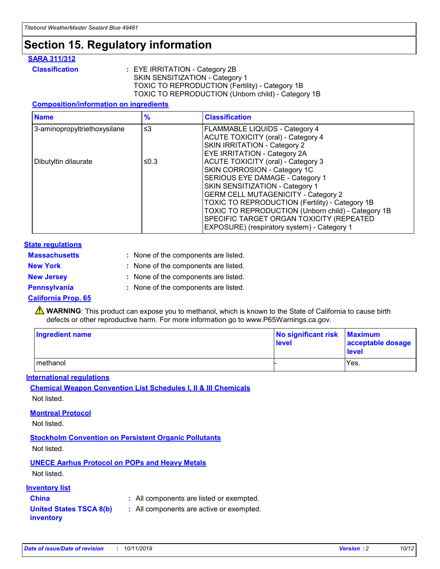## **Section 15. Regulatory information**

#### **SARA 311/312**

**Classification :** EYE IRRITATION - Category 2B SKIN SENSITIZATION - Category 1 TOXIC TO REPRODUCTION (Fertility) - Category 1B TOXIC TO REPRODUCTION (Unborn child) - Category 1B

#### **Composition/information on ingredients**

| <b>Name</b>                  | $\frac{9}{6}$ | <b>Classification</b>                                                                                            |
|------------------------------|---------------|------------------------------------------------------------------------------------------------------------------|
| 3-aminopropyltriethoxysilane | $\leq$ 3      | <b>FLAMMABLE LIQUIDS - Category 4</b><br><b>ACUTE TOXICITY (oral) - Category 4</b>                               |
|                              |               | SKIN IRRITATION - Category 2<br>EYE IRRITATION - Category 2A                                                     |
| Dibutyltin dilaurate         | ≤0.3          | ACUTE TOXICITY (oral) - Category 3<br>SKIN CORROSION - Category 1C                                               |
|                              |               | SERIOUS EYE DAMAGE - Category 1<br>SKIN SENSITIZATION - Category 1<br><b>GERM CELL MUTAGENICITY - Category 2</b> |
|                              |               | TOXIC TO REPRODUCTION (Fertility) - Category 1B<br>TOXIC TO REPRODUCTION (Unborn child) - Category 1B            |
|                              |               | SPECIFIC TARGET ORGAN TOXICITY (REPEATED<br>EXPOSURE) (respiratory system) - Category 1                          |

#### **State regulations**

| <b>Massachusetts</b> | : None of the components are listed. |
|----------------------|--------------------------------------|
| <b>New York</b>      | : None of the components are listed. |
| <b>New Jersey</b>    | : None of the components are listed. |
| <b>Pennsylvania</b>  | : None of the components are listed. |

#### **California Prop. 65**

**A** WARNING: This product can expose you to methanol, which is known to the State of California to cause birth defects or other reproductive harm. For more information go to www.P65Warnings.ca.gov.

| <b>Ingredient name</b> | No significant risk Maximum<br>level | acceptable dosage<br>level |
|------------------------|--------------------------------------|----------------------------|
| methanol               |                                      | Yes.                       |

#### **International regulations**

**Chemical Weapon Convention List Schedules I, II & III Chemicals** Not listed.

#### **Montreal Protocol**

Not listed.

**Stockholm Convention on Persistent Organic Pollutants**

Not listed.

#### **UNECE Aarhus Protocol on POPs and Heavy Metals**

Not listed.

#### **Inventory list**

### **China :** All components are listed or exempted.

**United States TSCA 8(b) inventory :** All components are active or exempted.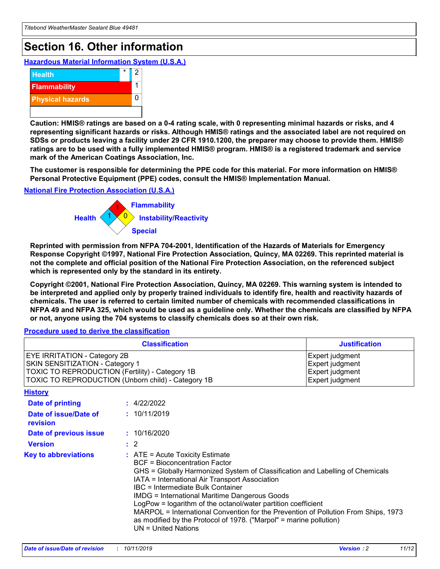## **Section 16. Other information**

**Hazardous Material Information System (U.S.A.)**



**Caution: HMIS® ratings are based on a 0-4 rating scale, with 0 representing minimal hazards or risks, and 4 representing significant hazards or risks. Although HMIS® ratings and the associated label are not required on SDSs or products leaving a facility under 29 CFR 1910.1200, the preparer may choose to provide them. HMIS® ratings are to be used with a fully implemented HMIS® program. HMIS® is a registered trademark and service mark of the American Coatings Association, Inc.**

**The customer is responsible for determining the PPE code for this material. For more information on HMIS® Personal Protective Equipment (PPE) codes, consult the HMIS® Implementation Manual.**

#### **National Fire Protection Association (U.S.A.)**



**Reprinted with permission from NFPA 704-2001, Identification of the Hazards of Materials for Emergency Response Copyright ©1997, National Fire Protection Association, Quincy, MA 02269. This reprinted material is not the complete and official position of the National Fire Protection Association, on the referenced subject which is represented only by the standard in its entirety.**

**Copyright ©2001, National Fire Protection Association, Quincy, MA 02269. This warning system is intended to be interpreted and applied only by properly trained individuals to identify fire, health and reactivity hazards of chemicals. The user is referred to certain limited number of chemicals with recommended classifications in NFPA 49 and NFPA 325, which would be used as a guideline only. Whether the chemicals are classified by NFPA or not, anyone using the 704 systems to classify chemicals does so at their own risk.**

#### **Procedure used to derive the classification**

| <b>Classification</b>                                                                                                                                                                  |                                                                                                                                                                                                                                                                   | <b>Justification</b>                                                                                                                                                                                                                                                                                       |  |
|----------------------------------------------------------------------------------------------------------------------------------------------------------------------------------------|-------------------------------------------------------------------------------------------------------------------------------------------------------------------------------------------------------------------------------------------------------------------|------------------------------------------------------------------------------------------------------------------------------------------------------------------------------------------------------------------------------------------------------------------------------------------------------------|--|
| <b>EYE IRRITATION - Category 2B</b><br>SKIN SENSITIZATION - Category 1<br><b>TOXIC TO REPRODUCTION (Fertility) - Category 1B</b><br>TOXIC TO REPRODUCTION (Unborn child) - Category 1B |                                                                                                                                                                                                                                                                   | Expert judgment<br>Expert judgment<br>Expert judgment<br>Expert judgment                                                                                                                                                                                                                                   |  |
| <b>History</b>                                                                                                                                                                         |                                                                                                                                                                                                                                                                   |                                                                                                                                                                                                                                                                                                            |  |
| <b>Date of printing</b>                                                                                                                                                                | : 4/22/2022                                                                                                                                                                                                                                                       |                                                                                                                                                                                                                                                                                                            |  |
| Date of issue/Date of<br>revision                                                                                                                                                      | : 10/11/2019                                                                                                                                                                                                                                                      |                                                                                                                                                                                                                                                                                                            |  |
| Date of previous issue                                                                                                                                                                 | : 10/16/2020                                                                                                                                                                                                                                                      |                                                                                                                                                                                                                                                                                                            |  |
| <b>Version</b>                                                                                                                                                                         | $\therefore$ 2                                                                                                                                                                                                                                                    |                                                                                                                                                                                                                                                                                                            |  |
| <b>Key to abbreviations</b>                                                                                                                                                            | $\therefore$ ATE = Acute Toxicity Estimate<br><b>BCF</b> = Bioconcentration Factor<br>IATA = International Air Transport Association<br><b>IBC</b> = Intermediate Bulk Container<br><b>IMDG = International Maritime Dangerous Goods</b><br>$UN = United Nations$ | GHS = Globally Harmonized System of Classification and Labelling of Chemicals<br>LogPow = logarithm of the octanol/water partition coefficient<br>MARPOL = International Convention for the Prevention of Pollution From Ships, 1973<br>as modified by the Protocol of 1978. ("Marpol" = marine pollution) |  |